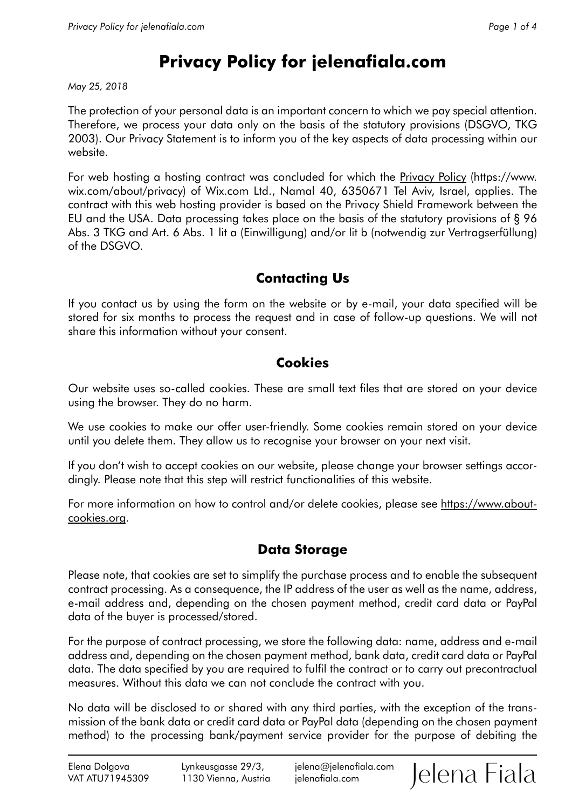# **Privacy Policy for jelenafiala.com**

*May 25, 2018* 

The protection of your personal data is an important concern to which we pay special attention. Therefore, we process your data only on the basis of the statutory provisions (DSGVO, TKG 2003). Our Privacy Statement is to inform you of the key aspects of data processing within our website.

For web hosting a hosting contract was concluded for which the [Privacy Policy](https://www.wix.com/about/privacy) (https://www. wix.com/about/privacy) of Wix.com Ltd., Namal 40, 6350671 Tel Aviv, Israel, applies. The contract with this web hosting provider is based on the Privacy Shield Framework between the EU and the USA. Data processing takes place on the basis of the statutory provisions of § 96 Abs. 3 TKG and Art. 6 Abs. 1 lit a (Einwilligung) and/or lit b (notwendig zur Vertragserfüllung) of the DSGVO.

# **Contacting Us**

If you contact us by using the form on the website or by e-mail, your data specified will be stored for six months to process the request and in case of follow-up questions. We will not share this information without your consent.

#### **Cookies**

Our website uses so-called cookies. These are small text files that are stored on your device using the browser. They do no harm.

We use cookies to make our offer user-friendly. Some cookies remain stored on your device until you delete them. They allow us to recognise your browser on your next visit.

If you don't wish to accept cookies on our website, please change your browser settings accordingly. Please note that this step will restrict functionalities of this website.

For more information on how to control and/or delete cookies, please see [https://www.about](https://www.aboutcookies.org)[cookies.org](https://www.aboutcookies.org).

## **Data Storage**

Please note, that cookies are set to simplify the purchase process and to enable the subsequent contract processing. As a consequence, the IP address of the user as well as the name, address, e-mail address and, depending on the chosen payment method, credit card data or PayPal data of the buyer is processed/stored.

For the purpose of contract processing, we store the following data: name, address and e-mail address and, depending on the chosen payment method, bank data, credit card data or PayPal data. The data specified by you are required to fulfil the contract or to carry out precontractual measures. Without this data we can not conclude the contract with you.

No data will be disclosed to or shared with any third parties, with the exception of the transmission of the bank data or credit card data or PayPal data (depending on the chosen payment method) to the processing bank/payment service provider for the purpose of debiting the

Jelena Fiala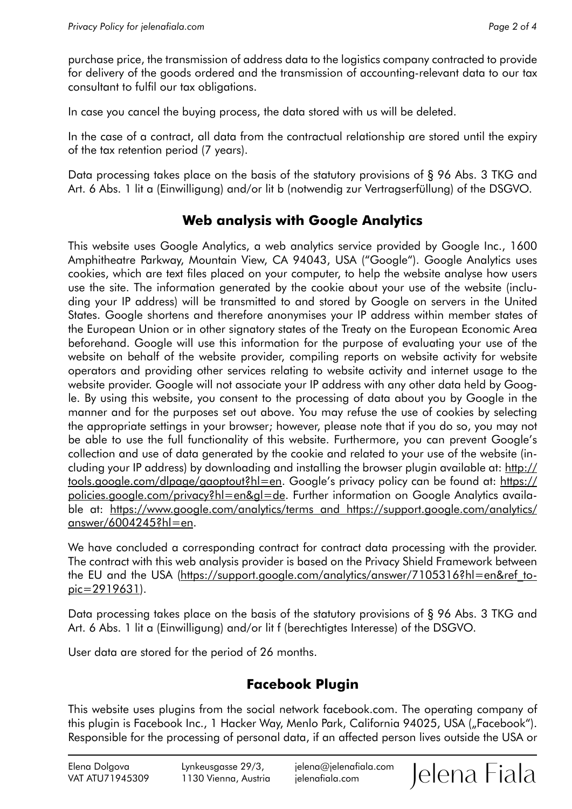purchase price, the transmission of address data to the logistics company contracted to provide for delivery of the goods ordered and the transmission of accounting-relevant data to our tax consultant to fulfil our tax obligations.

In case you cancel the buying process, the data stored with us will be deleted.

In the case of a contract, all data from the contractual relationship are stored until the expiry of the tax retention period (7 years).

Data processing takes place on the basis of the statutory provisions of § 96 Abs. 3 TKG and Art. 6 Abs. 1 lit a (Einwilligung) and/or lit b (notwendig zur Vertragserfüllung) of the DSGVO.

## **Web analysis with Google Analytics**

This website uses Google Analytics, a web analytics service provided by Google Inc., 1600 Amphitheatre Parkway, Mountain View, CA 94043, USA ("Google"). Google Analytics uses cookies, which are text files placed on your computer, to help the website analyse how users use the site. The information generated by the cookie about your use of the website (including your IP address) will be transmitted to and stored by Google on servers in the United States. Google shortens and therefore anonymises your IP address within member states of the European Union or in other signatory states of the Treaty on the European Economic Area beforehand. Google will use this information for the purpose of evaluating your use of the website on behalf of the website provider, compiling reports on website activity for website operators and providing other services relating to website activity and internet usage to the website provider. Google will not associate your IP address with any other data held by Google. By using this website, you consent to the processing of data about you by Google in the manner and for the purposes set out above. You may refuse the use of cookies by selecting the appropriate settings in your browser; however, please note that if you do so, you may not be able to use the full functionality of this website. Furthermore, you can prevent Google's collection and use of data generated by the cookie and related to your use of the website (including your IP address) by downloading and installing the browser plugin available at: [http://](http://tools.google.com/dlpage/gaoptout?hl=en) [tools.google.com/dlpage/gaoptout?hl=en](http://tools.google.com/dlpage/gaoptout?hl=en). Google's privacy policy can be found at: [https://](https://policies.google.com/privacy?hl=en&gl=de) [policies.google.com/privacy?hl=en&gl=de.](https://policies.google.com/privacy?hl=en&gl=de) Further information on Google Analytics available at: [https://www.google.com/analytics/terms and https://support.google.com/analytics/](https://www.google.com/analytics/terms and https://support.google.com/analytics/answer/6004245?hl=en) [answer/6004245?hl=en](https://www.google.com/analytics/terms and https://support.google.com/analytics/answer/6004245?hl=en).

We have concluded a corresponding contract for contract data processing with the provider. The contract with this web analysis provider is based on the Privacy Shield Framework between the EU and the USA ([https://support.google.com/analytics/answer/7105316?hl=en&ref\\_to](https://support.google.com/analytics/answer/7105316?hl=en&ref_topic=2919631)[pic=2919631\)](https://support.google.com/analytics/answer/7105316?hl=en&ref_topic=2919631).

Data processing takes place on the basis of the statutory provisions of § 96 Abs. 3 TKG and Art. 6 Abs. 1 lit a (Einwilligung) and/or lit f (berechtigtes Interesse) of the DSGVO.

User data are stored for the period of 26 months.

## **Facebook Plugin**

This website uses plugins from the social network facebook.com. The operating company of this plugin is Facebook Inc., 1 Hacker Way, Menlo Park, California 94025, USA ("Facebook"). Responsible for the processing of personal data, if an affected person lives outside the USA or

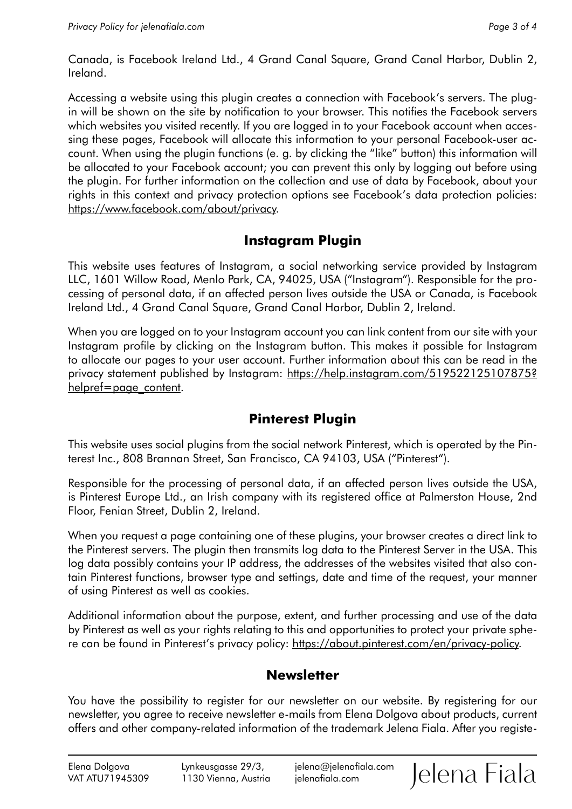Canada, is Facebook Ireland Ltd., 4 Grand Canal Square, Grand Canal Harbor, Dublin 2, Ireland.

Accessing a website using this plugin creates a connection with Facebook's servers. The plugin will be shown on the site by notification to your browser. This notifies the Facebook servers which websites you visited recently. If you are logged in to your Facebook account when accessing these pages, Facebook will allocate this information to your personal Facebook-user account. When using the plugin functions (e. g. by clicking the "like" button) this information will be allocated to your Facebook account; you can prevent this only by logging out before using the plugin. For further information on the collection and use of data by Facebook, about your rights in this context and privacy protection options see Facebook's data protection policies: <https://www.facebook.com/about/privacy>.

## **Instagram Plugin**

This website uses features of Instagram, a social networking service provided by Instagram LLC, 1601 Willow Road, Menlo Park, CA, 94025, USA ("Instagram"). Responsible for the processing of personal data, if an affected person lives outside the USA or Canada, is Facebook Ireland Ltd., 4 Grand Canal Square, Grand Canal Harbor, Dublin 2, Ireland.

When you are logged on to your Instagram account you can link content from our site with your Instagram profile by clicking on the Instagram button. This makes it possible for Instagram to allocate our pages to your user account. Further information about this can be read in the privacy statement published by Instagram: [https://help.instagram.com/519522125107875?](https://help.instagram.com/519522125107875?helpref=page_content) [helpref=page\\_content](https://help.instagram.com/519522125107875?helpref=page_content).

## **Pinterest Plugin**

This website uses social plugins from the social network Pinterest, which is operated by the Pinterest Inc., 808 Brannan Street, San Francisco, CA 94103, USA ("Pinterest").

Responsible for the processing of personal data, if an affected person lives outside the USA, is Pinterest Europe Ltd., an Irish company with its registered office at Palmerston House, 2nd Floor, Fenian Street, Dublin 2, Ireland.

When you request a page containing one of these plugins, your browser creates a direct link to the Pinterest servers. The plugin then transmits log data to the Pinterest Server in the USA. This log data possibly contains your IP address, the addresses of the websites visited that also contain Pinterest functions, browser type and settings, date and time of the request, your manner of using Pinterest as well as cookies.

Additional information about the purpose, extent, and further processing and use of the data by Pinterest as well as your rights relating to this and opportunities to protect your private sphere can be found in Pinterest's privacy policy: [https://about.pinterest.com/en/privacy-policy.](https://about.pinterest.com/en/privacy-policy)

## **Newsletter**

You have the possibility to register for our newsletter on our website. By registering for our newsletter, you agree to receive newsletter e-mails from Elena Dolgova about products, current offers and other company-related information of the trademark Jelena Fiala. After you registe-